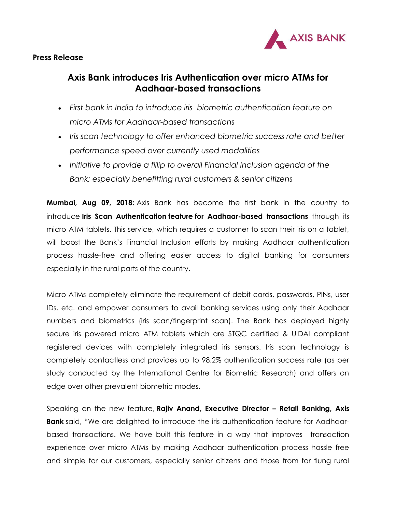

## **Press Release**

## **Axis Bank introduces Iris Authentication over micro ATMs for Aadhaar-based transactions**

- *First bank in India to introduce iris biometric authentication feature on micro ATMs for Aadhaar-based transactions*
- *Iris scan technology to offer enhanced biometric success rate and better performance speed over currently used modalities*
- *Initiative to provide a fillip to overall Financial Inclusion agenda of the Bank; especially benefitting rural customers & senior citizens*

**Mumbai, Aug 09, 2018:** Axis Bank has become the first bank in the country to introduce **Iris Scan Authentication feature for Aadhaar-based transactions** through its micro ATM tablets. This service, which requires a customer to scan their iris on a tablet, will boost the Bank's Financial Inclusion efforts by making Aadhaar authentication process hassle-free and offering easier access to digital banking for consumers especially in the rural parts of the country.

Micro ATMs completely eliminate the requirement of debit cards, passwords, PINs, user IDs, etc. and empower consumers to avail banking services using only their Aadhaar numbers and biometrics (iris scan/fingerprint scan). The Bank has deployed highly secure iris powered micro ATM tablets which are STQC certified & UIDAI compliant registered devices with completely integrated iris sensors. Iris scan technology is completely contactless and provides up to 98.2% authentication success rate (as per study conducted by the International Centre for Biometric Research) and offers an edge over other prevalent biometric modes.

Speaking on the new feature, **Rajiv Anand, Executive Director – Retail Banking, Axis Bank** said, "We are delighted to introduce the iris authentication feature for Aadhaarbased transactions. We have built this feature in a way that improves transaction experience over micro ATMs by making Aadhaar authentication process hassle free and simple for our customers, especially senior citizens and those from far flung rural